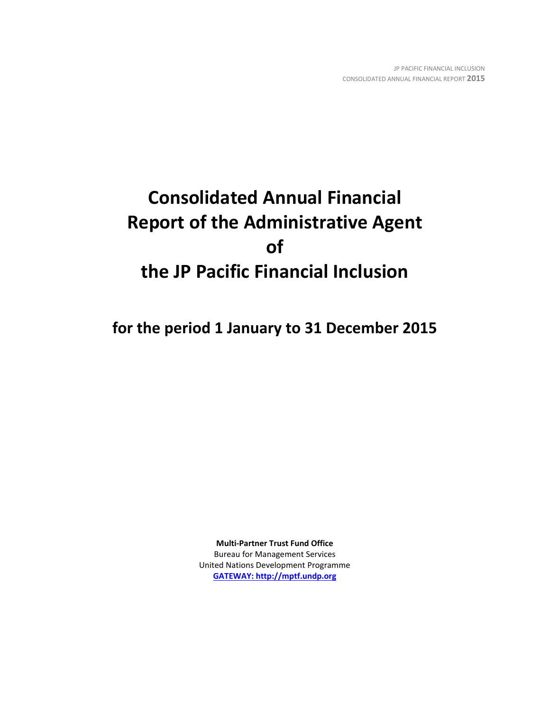# **Consolidated Annual Financial Report of the Administrative Agent of the JP Pacific Financial Inclusion**

**for the period 1 January to 31 December 2015**

**Multi-Partner Trust Fund Office** Bureau for Management Services United Nations Development Programme **[GATEWAY: http://mptf.undp.org](http://mptf.undp.org/)**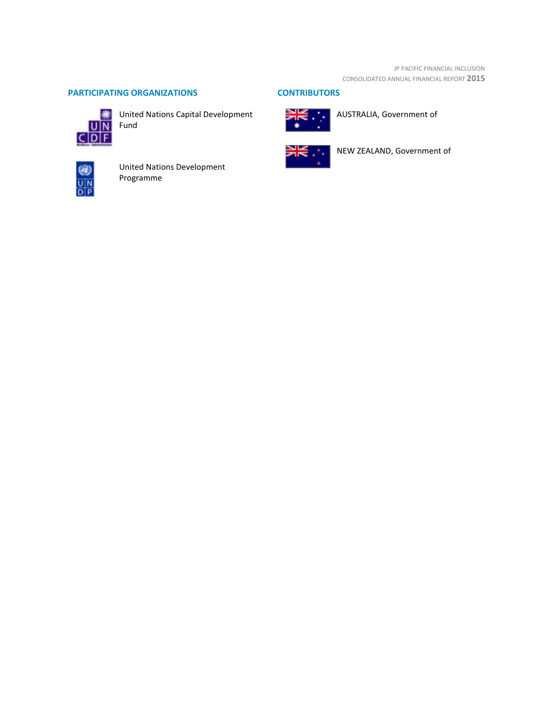# **PARTICIPATING ORGANIZATIONS CONTRIBUTORS**



**United Nations Capital Development** 



United Nations Development Programme



AUSTRALIA, Government of



NEW ZEALAND, Government of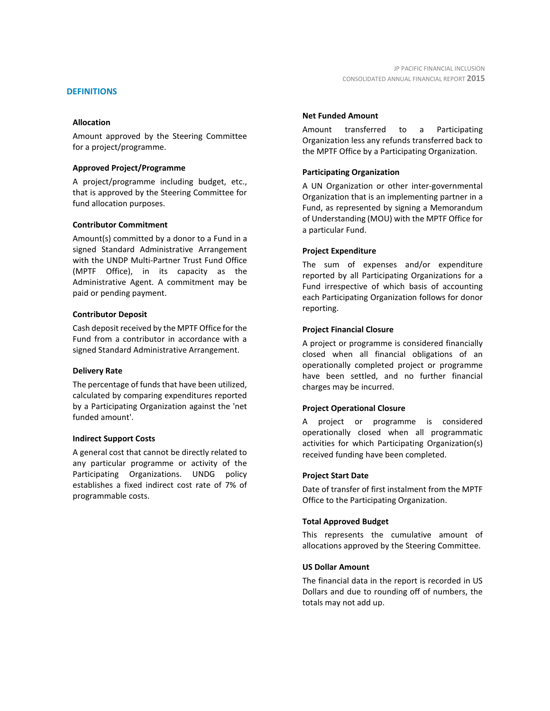#### **DEFINITIONS**

#### **Allocation**

Amount approved by the Steering Committee for a project/programme.

#### **Approved Project/Programme**

A project/programme including budget, etc., that is approved by the Steering Committee for fund allocation purposes.

#### **Contributor Commitment**

Amount(s) committed by a donor to a Fund in a signed Standard Administrative Arrangement with the UNDP Multi-Partner Trust Fund Office (MPTF Office), in its capacity as the Administrative Agent. A commitment may be paid or pending payment.

#### **Contributor Deposit**

Cash deposit received by the MPTF Office for the Fund from a contributor in accordance with a signed Standard Administrative Arrangement.

#### **Delivery Rate**

The percentage of funds that have been utilized, calculated by comparing expenditures reported by a Participating Organization against the 'net funded amount'.

#### **Indirect Support Costs**

A general cost that cannot be directly related to any particular programme or activity of the Participating Organizations. UNDG policy establishes a fixed indirect cost rate of 7% of programmable costs.

#### **Net Funded Amount**

Amount transferred to a Participating Organization less any refunds transferred back to the MPTF Office by a Participating Organization.

#### **Participating Organization**

A UN Organization or other inter-governmental Organization that is an implementing partner in a Fund, as represented by signing a Memorandum of Understanding (MOU) with the MPTF Office for a particular Fund.

#### **Project Expenditure**

The sum of expenses and/or expenditure reported by all Participating Organizations for a Fund irrespective of which basis of accounting each Participating Organization follows for donor reporting.

#### **Project Financial Closure**

A project or programme is considered financially closed when all financial obligations of an operationally completed project or programme have been settled, and no further financial charges may be incurred.

#### **Project Operational Closure**

A project or programme is considered operationally closed when all programmatic activities for which Participating Organization(s) received funding have been completed.

#### **Project Start Date**

Date of transfer of first instalment from the MPTF Office to the Participating Organization.

#### **Total Approved Budget**

This represents the cumulative amount of allocations approved by the Steering Committee.

#### **US Dollar Amount**

The financial data in the report is recorded in US Dollars and due to rounding off of numbers, the totals may not add up.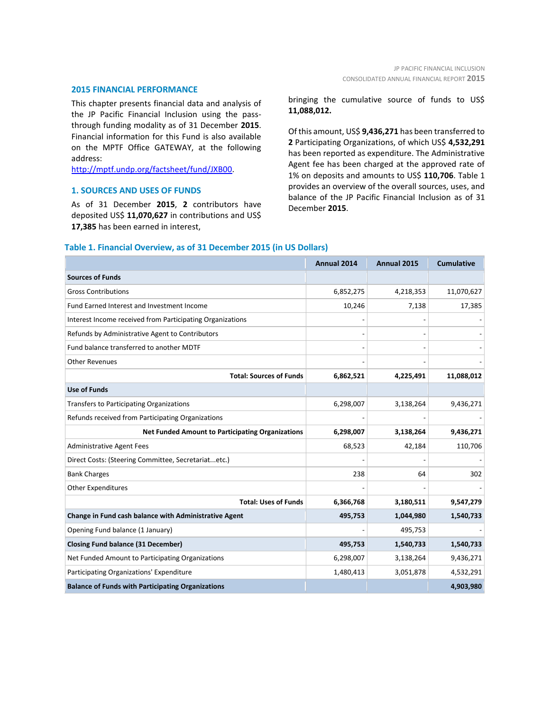#### **2015 FINANCIAL PERFORMANCE**

This chapter presents financial data and analysis of the JP Pacific Financial Inclusion using the passthrough funding modality as of 31 December **2015**. Financial information for this Fund is also available on the MPTF Office GATEWAY, at the following address:

[http://mptf.undp.org/factsheet/fund/JXB00.](http://mptf.undp.org/factsheet/fund/JXB00)

#### **1. SOURCES AND USES OF FUNDS**

As of 31 December **2015**, **2** contributors have deposited US\$ **11,070,627** in contributions and US\$ **17,385** has been earned in interest,

bringing the cumulative source of funds to US\$ **11,088,012.**

Of this amount, US\$ **9,436,271** has been transferred to **2** Participating Organizations, of which US\$ **4,532,291** has been reported as expenditure. The Administrative Agent fee has been charged at the approved rate of 1% on deposits and amounts to US\$ **110,706**. Table 1 provides an overview of the overall sources, uses, and balance of the JP Pacific Financial Inclusion as of 31 December **2015**.

#### **Table 1. Financial Overview, as of 31 December 2015 (in US Dollars)**

|                                                           | Annual 2014 | Annual 2015 | <b>Cumulative</b> |
|-----------------------------------------------------------|-------------|-------------|-------------------|
| <b>Sources of Funds</b>                                   |             |             |                   |
| <b>Gross Contributions</b>                                | 6,852,275   | 4,218,353   | 11,070,627        |
| Fund Earned Interest and Investment Income                | 10,246      | 7,138       | 17,385            |
| Interest Income received from Participating Organizations |             |             |                   |
| Refunds by Administrative Agent to Contributors           |             |             |                   |
| Fund balance transferred to another MDTF                  |             |             |                   |
| <b>Other Revenues</b>                                     |             |             |                   |
| <b>Total: Sources of Funds</b>                            | 6,862,521   | 4,225,491   | 11,088,012        |
| <b>Use of Funds</b>                                       |             |             |                   |
| <b>Transfers to Participating Organizations</b>           | 6,298,007   | 3,138,264   | 9,436,271         |
| Refunds received from Participating Organizations         |             |             |                   |
| <b>Net Funded Amount to Participating Organizations</b>   | 6,298,007   | 3,138,264   | 9,436,271         |
| <b>Administrative Agent Fees</b>                          | 68,523      | 42,184      | 110,706           |
| Direct Costs: (Steering Committee, Secretariatetc.)       |             |             |                   |
| <b>Bank Charges</b>                                       | 238         | 64          | 302               |
| <b>Other Expenditures</b>                                 |             |             |                   |
| <b>Total: Uses of Funds</b>                               | 6,366,768   | 3,180,511   | 9,547,279         |
| Change in Fund cash balance with Administrative Agent     | 495,753     | 1,044,980   | 1,540,733         |
| Opening Fund balance (1 January)                          |             | 495,753     |                   |
| <b>Closing Fund balance (31 December)</b>                 | 495,753     | 1,540,733   | 1,540,733         |
| Net Funded Amount to Participating Organizations          | 6,298,007   | 3,138,264   | 9,436,271         |
| Participating Organizations' Expenditure                  | 1,480,413   | 3,051,878   | 4,532,291         |
| <b>Balance of Funds with Participating Organizations</b>  |             |             | 4,903,980         |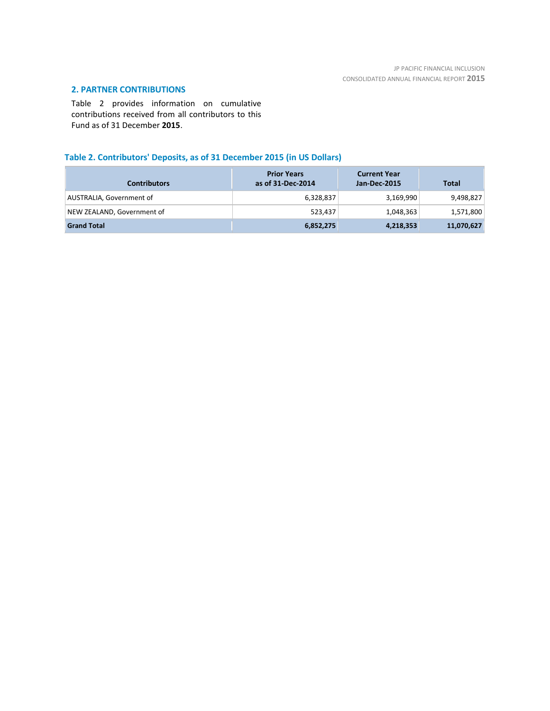# **2. PARTNER CONTRIBUTIONS**

Table 2 provides information on cumulative contributions received from all contributors to this Fund as of 31 December **2015**.

# **Table 2. Contributors' Deposits, as of 31 December 2015 (in US Dollars)**

| <b>Contributors</b>        | <b>Prior Years</b><br>as of 31-Dec-2014 | <b>Current Year</b><br>Jan-Dec-2015 | <b>Total</b> |
|----------------------------|-----------------------------------------|-------------------------------------|--------------|
| AUSTRALIA, Government of   | 6,328,837                               | 3,169,990                           | 9,498,827    |
| NEW ZEALAND, Government of | 523.437                                 | 1,048,363                           | 1,571,800    |
| <b>Grand Total</b>         | 6,852,275                               | 4,218,353                           | 11,070,627   |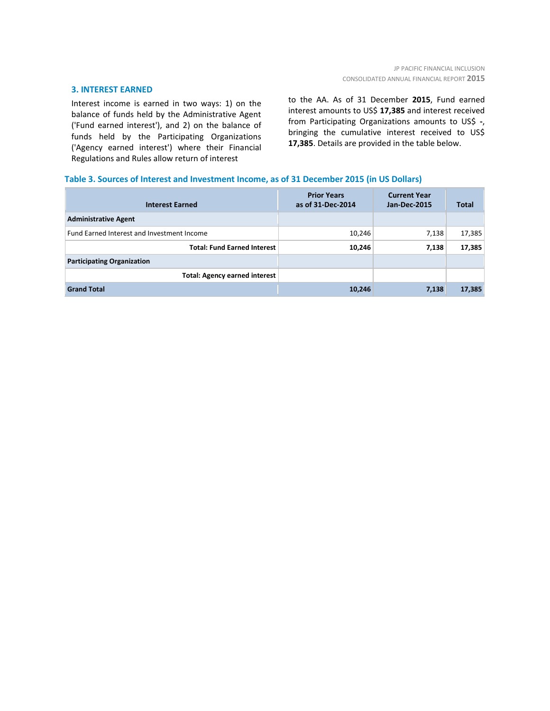#### **3. INTEREST EARNED**

Interest income is earned in two ways: 1) on the balance of funds held by the Administrative Agent ('Fund earned interest'), and 2) on the balance of funds held by the Participating Organizations ('Agency earned interest') where their Financial Regulations and Rules allow return of interest

to the AA. As of 31 December **2015**, Fund earned interest amounts to US\$ **17,385** and interest received from Participating Organizations amounts to US\$ **-**, bringing the cumulative interest received to US\$ **17,385**. Details are provided in the table below.

### **Table 3. Sources of Interest and Investment Income, as of 31 December 2015 (in US Dollars)**

| <b>Interest Earned</b>                     | <b>Prior Years</b><br>as of 31-Dec-2014 | <b>Current Year</b><br><b>Jan-Dec-2015</b> | <b>Total</b> |
|--------------------------------------------|-----------------------------------------|--------------------------------------------|--------------|
| <b>Administrative Agent</b>                |                                         |                                            |              |
| Fund Earned Interest and Investment Income | 10,246                                  | 7,138                                      | 17,385       |
| <b>Total: Fund Earned Interest</b>         | 10,246                                  | 7,138                                      | 17,385       |
| <b>Participating Organization</b>          |                                         |                                            |              |
| <b>Total: Agency earned interest</b>       |                                         |                                            |              |
| <b>Grand Total</b>                         | 10,246                                  | 7,138                                      | 17,385       |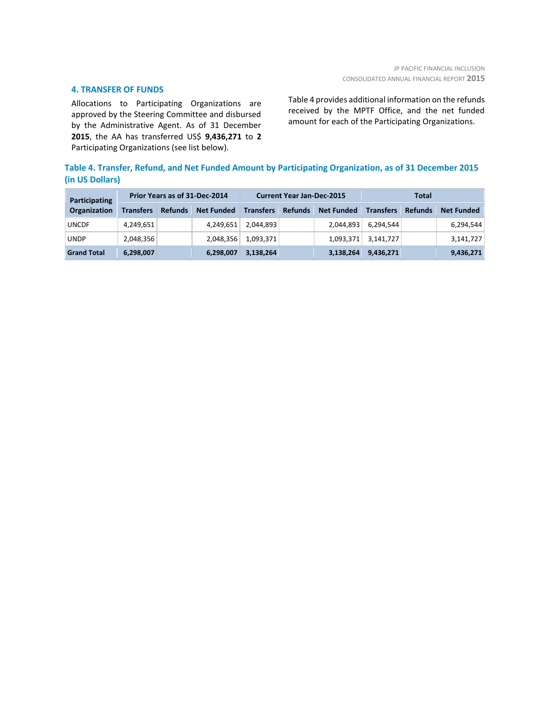#### **4. TRANSFER OF FUNDS**

Allocations to Participating Organizations are approved by the Steering Committee and disbursed by the Administrative Agent. As of 31 December **2015**, the AA has transferred US\$ **9,436,271** to **2** Participating Organizations (see list below).

Table 4 provides additional information on the refunds received by the MPTF Office, and the net funded amount for each of the Participating Organizations.

# **Table 4. Transfer, Refund, and Net Funded Amount by Participating Organization, as of 31 December 2015 (in US Dollars)**

| Participating       | Prior Years as of 31-Dec-2014 |                |                   | <b>Current Year Jan-Dec-2015</b> |                |                   | Total            |                |                   |
|---------------------|-------------------------------|----------------|-------------------|----------------------------------|----------------|-------------------|------------------|----------------|-------------------|
| <b>Organization</b> | <b>Transfers</b>              | <b>Refunds</b> | <b>Net Funded</b> | <b>Transfers</b>                 | <b>Refunds</b> | <b>Net Funded</b> | <b>Transfers</b> | <b>Refunds</b> | <b>Net Funded</b> |
| <b>UNCDF</b>        | 4,249,651                     |                | 4,249,651         | 2,044,893                        |                | 2,044,893         | 6,294,544        |                | 6,294,544         |
| <b>UNDP</b>         | 2,048,356                     |                | 2,048,356         | 1,093,371                        |                | 1,093,371         | 3,141,727        |                | 3,141,727         |
| <b>Grand Total</b>  | 6,298,007                     |                | 6,298,007         | 3,138,264                        |                | 3,138,264         | 9,436,271        |                | 9,436,271         |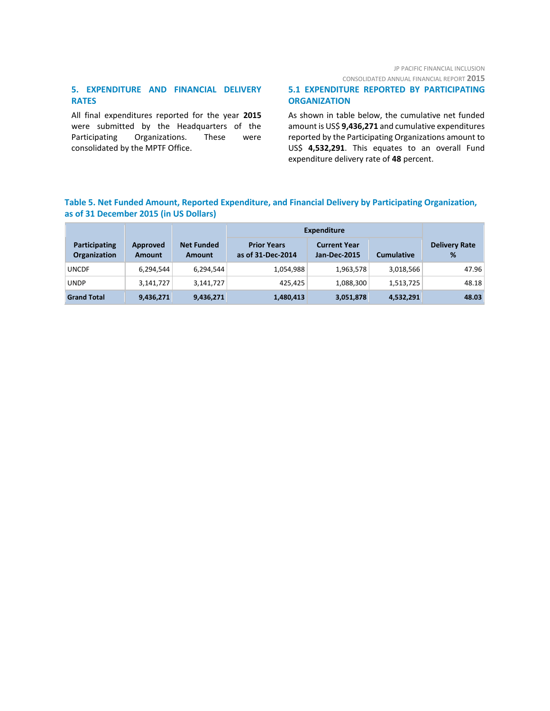# JP PACIFIC FINANCIAL INCLUSION

CONSOLIDATED ANNUAL FINANCIAL REPORT **2015**

# **5. EXPENDITURE AND FINANCIAL DELIVERY RATES**

All final expenditures reported for the year **2015** were submitted by the Headquarters of the Participating Organizations. These were consolidated by the MPTF Office.

# **5.1 EXPENDITURE REPORTED BY PARTICIPATING ORGANIZATION**

As shown in table below, the cumulative net funded amount is US\$ **9,436,271** and cumulative expenditures reported by the Participating Organizations amount to US\$ **4,532,291**. This equates to an overall Fund expenditure delivery rate of **48** percent.

# **Table 5. Net Funded Amount, Reported Expenditure, and Financial Delivery by Participating Organization, as of 31 December 2015 (in US Dollars)**

|                               |                           |                                    | <b>Expenditure</b>                      |                                            |                   |                           |  |
|-------------------------------|---------------------------|------------------------------------|-----------------------------------------|--------------------------------------------|-------------------|---------------------------|--|
| Participating<br>Organization | Approved<br><b>Amount</b> | <b>Net Funded</b><br><b>Amount</b> | <b>Prior Years</b><br>as of 31-Dec-2014 | <b>Current Year</b><br><b>Jan-Dec-2015</b> | <b>Cumulative</b> | <b>Delivery Rate</b><br>% |  |
| <b>UNCDF</b>                  | 6,294,544                 | 6,294,544                          | 1,054,988                               | 1,963,578                                  | 3,018,566         | 47.96                     |  |
| <b>UNDP</b>                   | 3,141,727                 | 3,141,727                          | 425.425                                 | 1,088,300                                  | 1,513,725         | 48.18                     |  |
| <b>Grand Total</b>            | 9,436,271                 | 9,436,271                          | 1,480,413                               | 3,051,878                                  | 4,532,291         | 48.03                     |  |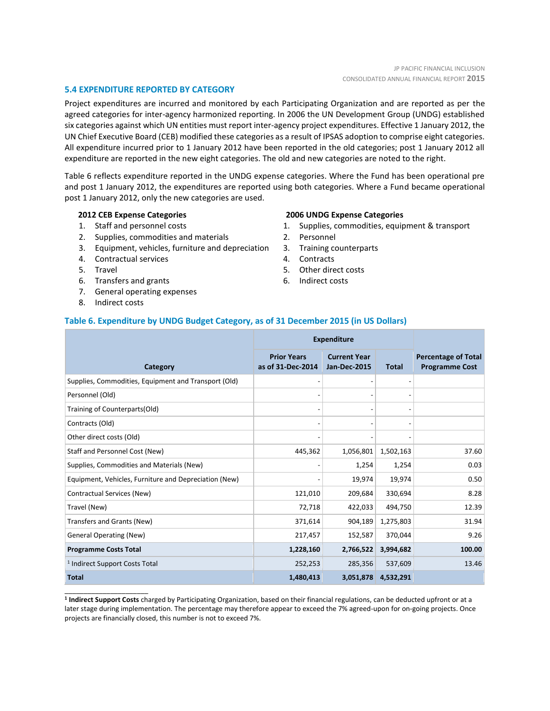#### **5.4 EXPENDITURE REPORTED BY CATEGORY**

Project expenditures are incurred and monitored by each Participating Organization and are reported as per the agreed categories for inter-agency harmonized reporting. In 2006 the UN Development Group (UNDG) established six categories against which UN entities must report inter-agency project expenditures. Effective 1 January 2012, the UN Chief Executive Board (CEB) modified these categories as a result of IPSAS adoption to comprise eight categories. All expenditure incurred prior to 1 January 2012 have been reported in the old categories; post 1 January 2012 all expenditure are reported in the new eight categories. The old and new categories are noted to the right.

Table 6 reflects expenditure reported in the UNDG expense categories. Where the Fund has been operational pre and post 1 January 2012, the expenditures are reported using both categories. Where a Fund became operational post 1 January 2012, only the new categories are used.

#### **2012 CEB Expense Categories**

- 1. Staff and personnel costs
- 2. Supplies, commodities and materials
- 3. Equipment, vehicles, furniture and depreciation
- 4. Contractual services
- 5. Travel
- 6. Transfers and grants
- 7. General operating expenses
- 8. Indirect costs

\_\_\_\_\_\_\_\_\_\_\_\_\_\_\_\_\_\_\_\_\_\_

#### **2006 UNDG Expense Categories**

- 1. Supplies, commodities, equipment & transport
- 2. Personnel
- 3. Training counterparts
- 4. Contracts
- 5. Other direct costs
- 6. Indirect costs

#### **Table 6. Expenditure by UNDG Budget Category, as of 31 December 2015 (in US Dollars)**

|                                                       | <b>Expenditure</b>                      |                                            |              |                                                     |
|-------------------------------------------------------|-----------------------------------------|--------------------------------------------|--------------|-----------------------------------------------------|
| Category                                              | <b>Prior Years</b><br>as of 31-Dec-2014 | <b>Current Year</b><br><b>Jan-Dec-2015</b> | <b>Total</b> | <b>Percentage of Total</b><br><b>Programme Cost</b> |
| Supplies, Commodities, Equipment and Transport (Old)  |                                         |                                            |              |                                                     |
| Personnel (Old)                                       |                                         |                                            |              |                                                     |
| Training of Counterparts(Old)                         |                                         |                                            |              |                                                     |
| Contracts (Old)                                       |                                         |                                            |              |                                                     |
| Other direct costs (Old)                              |                                         |                                            |              |                                                     |
| Staff and Personnel Cost (New)                        | 445,362                                 | 1,056,801                                  | 1,502,163    | 37.60                                               |
| Supplies, Commodities and Materials (New)             |                                         | 1,254                                      | 1,254        | 0.03                                                |
| Equipment, Vehicles, Furniture and Depreciation (New) |                                         | 19,974                                     | 19,974       | 0.50                                                |
| Contractual Services (New)                            | 121,010                                 | 209,684                                    | 330,694      | 8.28                                                |
| Travel (New)                                          | 72,718                                  | 422,033                                    | 494,750      | 12.39                                               |
| Transfers and Grants (New)                            | 371,614                                 | 904,189                                    | 1,275,803    | 31.94                                               |
| <b>General Operating (New)</b>                        | 217,457                                 | 152,587                                    | 370,044      | 9.26                                                |
| <b>Programme Costs Total</b>                          | 1,228,160                               | 2,766,522                                  | 3,994,682    | 100.00                                              |
| <sup>1</sup> Indirect Support Costs Total             | 252,253                                 | 285,356                                    | 537,609      | 13.46                                               |
| <b>Total</b>                                          | 1,480,413                               | 3,051,878                                  | 4,532,291    |                                                     |

**1 Indirect Support Costs** charged by Participating Organization, based on their financial regulations, can be deducted upfront or at a later stage during implementation. The percentage may therefore appear to exceed the 7% agreed-upon for on-going projects. Once projects are financially closed, this number is not to exceed 7%.